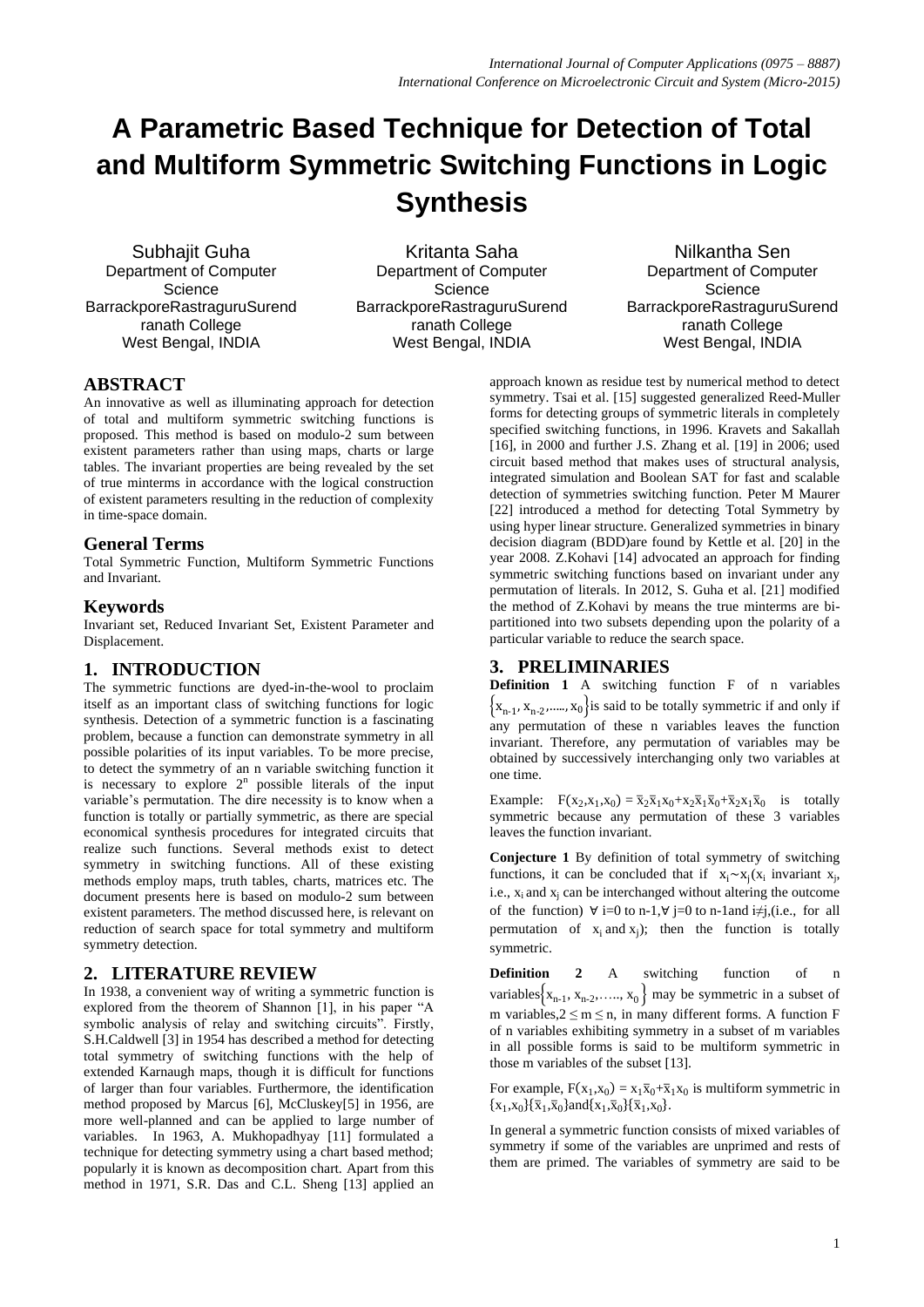# **A Parametric Based Technique for Detection of Total and Multiform Symmetric Switching Functions in Logic Synthesis**

Subhajit Guha Department of Computer **Science** BarrackporeRastraguruSurend ranath College West Bengal, INDIA

Kritanta Saha Department of Computer **Science** BarrackporeRastraguruSurend ranath College West Bengal, INDIA

Nilkantha Sen Department of Computer **Science** BarrackporeRastraguruSurend ranath College West Bengal, INDIA

# **ABSTRACT**

An innovative as well as illuminating approach for detection of total and multiform symmetric switching functions is proposed. This method is based on modulo-2 sum between existent parameters rather than using maps, charts or large tables. The invariant properties are being revealed by the set of true minterms in accordance with the logical construction of existent parameters resulting in the reduction of complexity in time-space domain.

## **General Terms**

Total Symmetric Function, Multiform Symmetric Functions and Invariant.

## **Keywords**

Invariant set, Reduced Invariant Set, Existent Parameter and Displacement.

## **1. INTRODUCTION**

The symmetric functions are dyed-in-the-wool to proclaim itself as an important class of switching functions for logic synthesis. Detection of a symmetric function is a fascinating problem, because a function can demonstrate symmetry in all possible polarities of its input variables. To be more precise, to detect the symmetry of an n variable switching function it is necessary to explore  $2<sup>n</sup>$  possible literals of the input variable's permutation. The dire necessity is to know when a function is totally or partially symmetric, as there are special economical synthesis procedures for integrated circuits that realize such functions. Several methods exist to detect symmetry in switching functions. All of these existing methods employ maps, truth tables, charts, matrices etc. The document presents here is based on modulo-2 sum between existent parameters. The method discussed here, is relevant on reduction of search space for total symmetry and multiform symmetry detection.

# **2. LITERATURE REVIEW**

In 1938, a convenient way of writing a symmetric function is explored from the theorem of Shannon [1], in his paper "A symbolic analysis of relay and switching circuits". Firstly, S.H.Caldwell [3] in 1954 has described a method for detecting total symmetry of switching functions with the help of extended Karnaugh maps, though it is difficult for functions of larger than four variables. Furthermore, the identification method proposed by Marcus [6], McCluskey[5] in 1956, are more well-planned and can be applied to large number of variables. In 1963, A. Mukhopadhyay [11] formulated a technique for detecting symmetry using a chart based method; popularly it is known as decomposition chart. Apart from this method in 1971, S.R. Das and C.L. Sheng [13] applied an

approach known as residue test by numerical method to detect symmetry. Tsai et al. [15] suggested generalized Reed-Muller forms for detecting groups of symmetric literals in completely specified switching functions, in 1996. Kravets and Sakallah [16], in 2000 and further J.S. Zhang et al. [19] in 2006; used circuit based method that makes uses of structural analysis, integrated simulation and Boolean SAT for fast and scalable detection of symmetries switching function. Peter M Maurer [22] introduced a method for detecting Total Symmetry by using hyper linear structure. Generalized symmetries in binary decision diagram (BDD)are found by Kettle et al. [20] in the year 2008. Z.Kohavi [14] advocated an approach for finding symmetric switching functions based on invariant under any permutation of literals. In 2012, S. Guha et al. [21] modified the method of Z.Kohavi by means the true minterms are bipartitioned into two subsets depending upon the polarity of a particular variable to reduce the search space.

## **3. PRELIMINARIES**

**Definition 1** A switching function F of n variables  $\{x_{n-1}, x_{n-2}, \ldots, x_0\}$  is said to be totally symmetric if and only if any permutation of these n variables leaves the function invariant. Therefore, any permutation of variables may be obtained by successively interchanging only two variables at one time.

Example:  $F(x_2, x_1, x_0) = \overline{x}_2 \overline{x}_1 x_0 + x_2 \overline{x}_1 \overline{x}_0 + \overline{x}_2 x_1 \overline{x}_0$  is totally symmetric because any permutation of these 3 variables leaves the function invariant.

**Conjecture 1** By definition of total symmetry of switching functions, it can be concluded that if  $x_i \sim x_j(x_i)$  invariant  $x_j$ , i.e.,  $x_i$  and  $x_i$  can be interchanged without altering the outcome of the function)  $\forall$  i=0 to n-1, $\forall$  j=0 to n-1and i≠j,(i.e., for all permutation of  $x_i$  and  $x_j$ ); then the function is totally symmetric.

**Definition 2** A switching function of n variables  $x_{n-1}, x_{n-2}, \ldots, x_0$  may be symmetric in a subset of m variables,  $2 \le m \le n$ , in many different forms. A function F of n variables exhibiting symmetry in a subset of m variables in all possible forms is said to be multiform symmetric in those m variables of the subset [13].

For example,  $F(x_1, x_0) = x_1 \overline{x}_0 + \overline{x}_1 x_0$  is multiform symmetric in  ${x_1, x_0} {\bar{x}_1, \bar{x}_0}$  and  ${x_1, \bar{x}_0} {\bar{x}_1, x_0}$ .

In general a symmetric function consists of mixed variables of symmetry if some of the variables are unprimed and rests of them are primed. The variables of symmetry are said to be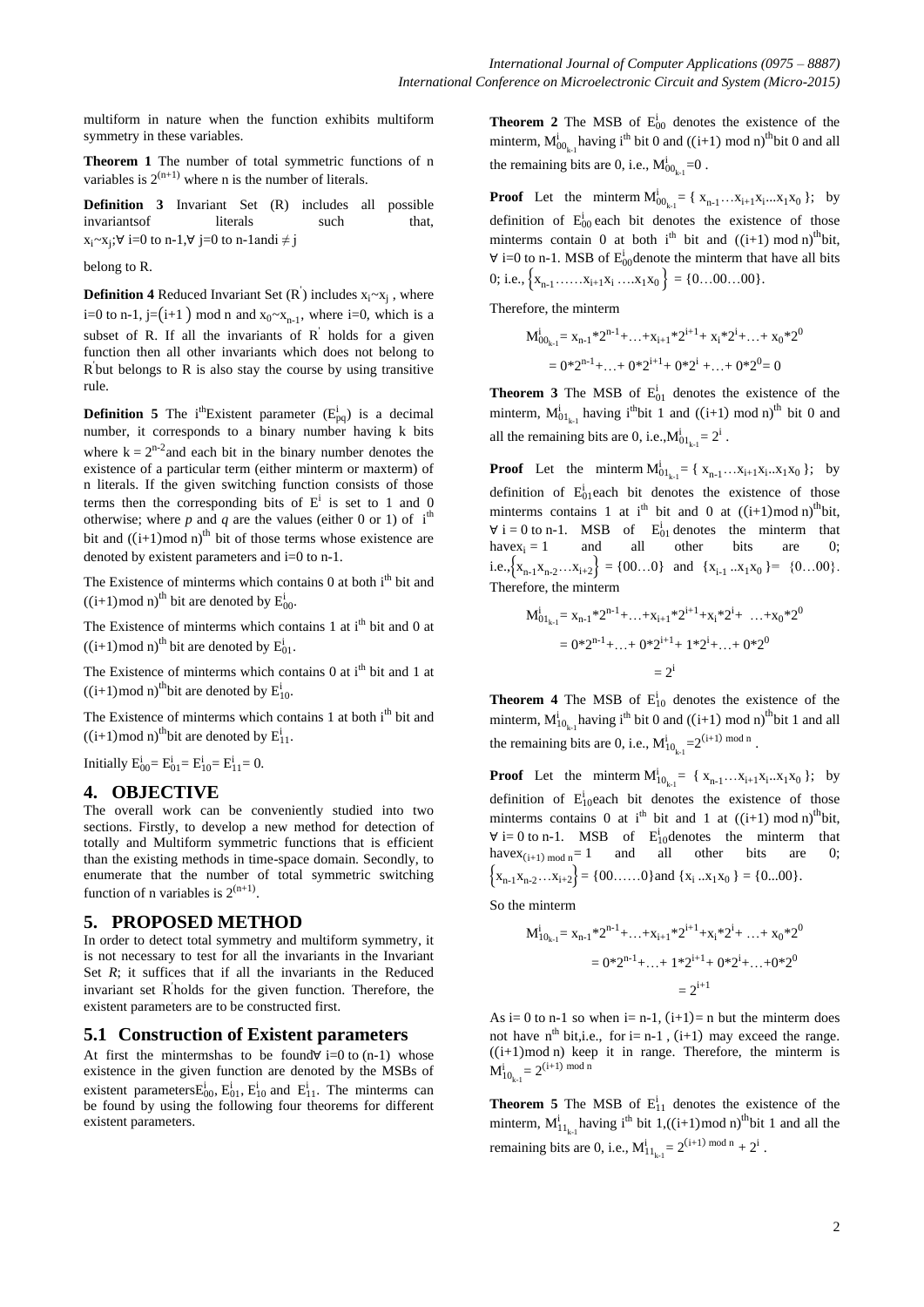multiform in nature when the function exhibits multiform symmetry in these variables.

**Theorem 1** The number of total symmetric functions of n variables is  $2^{(n+1)}$  where n is the number of literals.

**Definition 3** Invariant Set (R) includes all possible invariantsof literals such that,  $x_i \sim x_j$ ;∀ i=0 to n-1,∀ j=0 to n-1andi ≠ j

belong to R.

**Definition 4** Reduced Invariant Set  $(R)$  includes  $x_i \sim x_j$ , where i=0 to n-1, j=(i+1) mod n and  $x_0 \sim x_{n-1}$ , where i=0, which is a subset of R. If all the invariants of  $R'$  holds for a given function then all other invariants which does not belong to  $\overline{R}$  but belongs to  $\overline{R}$  is also stay the course by using transitive rule.

**Definition 5** The i<sup>th</sup>Existent parameter  $(E_{pq}^i)$  is a decimal number, it corresponds to a binary number having k bits where  $k = 2^{n-2}$  and each bit in the binary number denotes the existence of a particular term (either minterm or maxterm) of n literals. If the given switching function consists of those terms then the corresponding bits of  $E^i$  is set to 1 and 0 otherwise; where *p* and *q* are the values (either 0 or 1) of  $i<sup>th</sup>$ bit and  $((i+1) \mod n)^{th}$  bit of those terms whose existence are denoted by existent parameters and i=0 to n-1.

The Existence of minterms which contains  $0$  at both  $i<sup>th</sup>$  bit and  $((i+1) \text{ mod } n)$ <sup>th</sup> bit are denoted by  $E_{00}^i$ .

The Existence of minterms which contains 1 at  $i<sup>th</sup>$  bit and 0 at  $((i+1) \text{ mod } n)$ <sup>th</sup> bit are denoted by  $E_{01}^i$ .

The Existence of minterms which contains  $0$  at i<sup>th</sup> bit and 1 at  $((i+1) \text{ mod } n)$ <sup>th</sup>bit are denoted by  $E_{10}^i$ .

The Existence of minterms which contains 1 at both i<sup>th</sup> bit and  $((i+1) \text{ mod } n)$ <sup>th</sup>bit are denoted by  $E_{11}^i$ .

Initially  $E_{00}^{i} = E_{01}^{i} = E_{10}^{i} = E_{11}^{i} = 0$ .

## **4. OBJECTIVE**

The overall work can be conveniently studied into two sections. Firstly, to develop a new method for detection of totally and Multiform symmetric functions that is efficient than the existing methods in time-space domain. Secondly, to enumerate that the number of total symmetric switching function of n variables is  $2^{(n+1)}$ .

## **5. PROPOSED METHOD**

In order to detect total symmetry and multiform symmetry, it is not necessary to test for all the invariants in the Invariant Set *R*; it suffices that if all the invariants in the Reduced invariant set R ' holds for the given function. Therefore, the existent parameters are to be constructed first.

## **5.1 Construction of Existent parameters**

At first the mintermshas to be found∀ i=0 to  $(n-1)$  whose existence in the given function are denoted by the MSBs of existent parameters $E_{00}^{i}$ ,  $E_{01}^{i}$ ,  $E_{10}^{i}$  and  $E_{11}^{i}$ . The minterms can be found by using the following four theorems for different existent parameters.

**Theorem 2** The MSB of  $E_{00}^{i}$  denotes the existence of the minterm,  $M_{{00}_{k-1}}^{i}$  having i<sup>th</sup> bit 0 and ((i+1) mod n)<sup>th</sup>bit 0 and all the remaining bits are 0, i.e.,  $M^{i}_{00_{k-1}}$ =0.

**Proof** Let the minterm  $M_{00_{k-1}}^i = \{ x_{n-1} \dots x_{i+1} x_i \dots x_1 x_0 \}$ ; by definition of  $E_{00}^{i}$  each bit denotes the existence of those minterms contain 0 at both  $i^{th}$  bit and  $((i+1) \mod n)^{th}$  bit,  $\forall$  i=0 to n-1. MSB of  $E_{00}^{i}$  denote the minterm that have all bits 0; i.e.,  $\{x_{n-1}$  …… $x_{i+1}x_i$  … $x_1x_0\} = \{0...00...00\}$ .

Therefore, the minterm

$$
M_{00_{k-1}}^i = x_{n-1} * 2^{n-1} + ... + x_{i+1} * 2^{i+1} + x_i * 2^i + ... + x_0 * 2^0
$$
  
= 0 \* 2<sup>n-1</sup> + ... + 0 \* 2<sup>i+1</sup> + 0 \* 2<sup>i</sup> + ... + 0 \* 2<sup>0</sup> = 0

**Theorem 3** The MSB of  $E_{01}^i$  denotes the existence of the minterm,  $M_{{01}_{k-1}}^{i}$  having i<sup>th</sup>bit 1 and ((i+1) mod n)<sup>th</sup> bit 0 and all the remaining bits are 0, i.e., $M^{i}_{01_{k-1}} = 2^{i}$ .

**Proof** Let the minterm  $M_{{01}_{k-1}}^i = \{ x_{n-1}...x_{i+1}x_i...x_1x_0 \}$ ; by definition of  $E_0^i$  each bit denotes the existence of those minterms contains 1 at i<sup>th</sup> bit and 0 at  $((i+1) \mod n)^{th}$  bit,  $\forall$  i = 0 to n-1. MSB of  $E_{01}^{i}$  denotes the minterm that have $x_i = 1$  and all other bits are 0; i.e.,  $\{x_{n-1}x_{n-2}...x_{i+2}\} = \{00...0\}$  and  $\{x_{i-1}...x_1x_0\} = \{0...00\}$ . Therefore, the minterm

$$
M_{01_{k-1}}^{i} = x_{n-1} * 2^{n-1} + ... + x_{i+1} * 2^{i+1} + x_i * 2^i + ... + x_0 * 2^0
$$
  
= 0 \* 2<sup>n-1</sup> + ... + 0 \* 2<sup>i+1</sup> + 1 \* 2<sup>i</sup> + ... + 0 \* 2<sup>0</sup>  
= 2<sup>i</sup>

**Theorem 4** The MSB of  $E_{10}^{i}$  denotes the existence of the minterm,  $M_{10_{k-1}}^i$  having i<sup>th</sup> bit 0 and ((i+1) mod n)<sup>th</sup> bit 1 and all the remaining bits are 0, i.e.,  $M_{10_{k-1}}^i=2^{(i+1) \mod n}$ .

**Proof** Let the minterm  $M_{10_{k-1}}^i = \{ x_{n-1} \dots x_{i+1} x_i \dots x_1 x_0 \}$ ; by definition of  $E_{10}^{i}$  each bit denotes the existence of those minterms contains 0 at i<sup>th</sup> bit and 1 at  $((i+1) \mod n)^{th}$  bit,  $\forall$  i= 0 to n-1. MSB of  $E_{10}^{i}$  denotes the minterm that have $x_{(i+1) \mod n} = 1$  and all other bits are 0;  $\{X_{n-1}X_{n-2}\ldots X_{i+2}\} = \{00,\ldots 0\}$  and  $\{X_i \ldots X_1X_0\} = \{0...00\}.$ 

So the minterm

$$
M_{10_{k-1}}^i = x_{n-1} * 2^{n-1} + ... + x_{i+1} * 2^{i+1} + x_i * 2^i + ... + x_0 * 2^0
$$
  
= 0 \* 2<sup>n-1</sup> + ... + 1 \* 2<sup>i+1</sup> + 0 \* 2<sup>i</sup> + ... + 0 \* 2<sup>0</sup>  
= 2<sup>i+1</sup>

As i= 0 to n-1 so when i= n-1,  $(i+1)$ = n but the minterm does not have n<sup>th</sup> bit,i.e., for i= n-1, (i+1) may exceed the range.  $((i+1) \text{ mod } n)$  keep it in range. Therefore, the minterm is  $M_{10_{k-1}}^i = 2^{(i+1) \bmod n}$ 

**Theorem 5** The MSB of  $E_{11}^i$  denotes the existence of the minterm,  $M_1^i_{1_{k-1}}$  having i<sup>th</sup> bit 1,((i+1)mod n)<sup>th</sup> bit 1 and all the remaining bits are 0, i.e.,  $M_1^i{}_{1_{k-1}} = 2^{(i+1) \mod n} + 2^i$ .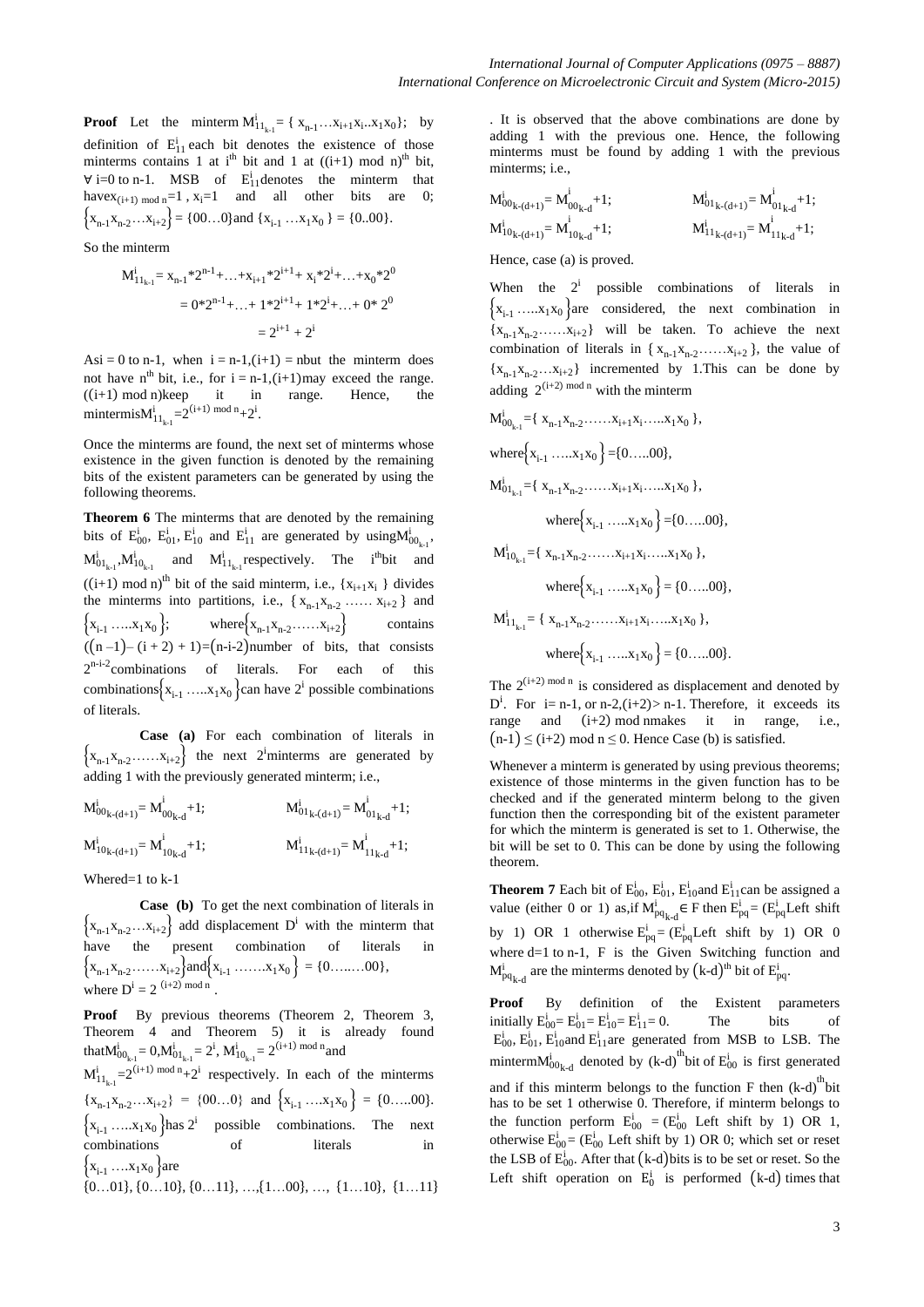**Proof** Let the minterm  $M_1^i{}_{1_{k-1}} = \{ x_{n-1} \dots x_{i+1} x_i \dots x_1 x_0 \}$ ; by definition of  $E_{11}^i$  each bit denotes the existence of those minterms contains 1 at i<sup>th</sup> bit and 1 at  $((i+1) \mod n)$ <sup>th</sup> bit,  $\forall$  i=0 to n-1. MSB of  $E_{11}^{i}$  denotes the minterm that have $x_{(i+1) \mod n}=1$ ,  $x_i=1$  and all other bits are 0;  $\{X_{n-1}X_{n-2}\ldots X_{i+2}\} = \{00\ldots 0\}$ and  $\{X_{i-1}\ldots X_1X_0\} = \{0\ldots 00\}.$ 

So the minterm

$$
M_{11_{k-1}}^{i} = x_{n-1} * 2^{n-1} + ... + x_{i+1} * 2^{i+1} + x_{i} * 2^{i} + ... + x_{0} * 2^{0}
$$
  
= 0 \* 2<sup>n-1</sup> + ... + 1 \* 2<sup>i+1</sup> + 1 \* 2<sup>i</sup> + ... + 0 \* 2<sup>0</sup>  
= 2<sup>i+1</sup> + 2<sup>i</sup>

Asi = 0 to n-1, when  $i = n-1$ ,  $(i+1)$  = nbut the minterm does not have n<sup>th</sup> bit, i.e., for  $i = n-1$ ,  $(i+1)$  may exceed the range.  $((i+1) \mod n)$ keep it in range. Hence, the mintermis $M_{11_{k-1}}^{i} = 2^{(i+1) \mod n} + 2^{i}$ .

Once the minterms are found, the next set of minterms whose existence in the given function is denoted by the remaining bits of the existent parameters can be generated by using the following theorems.

**Theorem 6** The minterms that are denoted by the remaining bits of  $E_{00}^i$ ,  $E_{01}^i$ ,  $E_{10}^i$  and  $E_{11}^i$  are generated by using  $M_{00_{k-1}}^i$ ,  $M_0^i{}_{l_{k-1}}$ ,  $M_1^i{}_{l_{k-1}}$  and  $M_1^i{}_{l_{k-1}}$  respectively. The i<sup>th</sup>bit and  $((i+1) \text{ mod } n)^{th}$  bit of the said minterm, i.e.,  $\{x_{i+1}x_i\}$  divides the minterms into partitions, i.e.,  $\{x_{n-1}x_{n-2} \dots x_{i+2}\}\$ and  ${x_{i-1} \dots x_1 x_0};$  where  ${x_{n-1} x_{n-2} \dots x_{i+2}}$  contains  $((n-1)-(i+2)+1)=(n-i-2)$  number of bits, that consists 2<sup>n-i-2</sup> combinations of literals. For each of this combinations  $\{x_{i-1} \dots x_1 x_0\}$  can have  $2^i$  possible combinations of literals.

**Case (a)** For each combination of literals in  $\{x_{n-1}x_{n-2} \dots x_{i+2}\}\$  the next 2<sup>i</sup>minterms are generated by adding 1 with the previously generated minterm; i.e.,

$$
M^{i}_{00_{k-(d+1)}} = M^{i}_{00_{k-d}} + 1; \t M^{i}_{01_{k-(d+1)}} = M^{i}_{01_{k-d}} + 1; M^{i}_{10_{k-(d+1)}} = M^{i}_{11_{k-d}} + 1;
$$

Whered=1 to k-1

**Case (b)** To get the next combination of literals in  $\{x_{n-1}x_{n-2}...x_{i+2}\}\$  add displacement D<sup>i</sup> with the minterm that have the present combination of literals in  $\{x_{n-1}x_{n-2}\ldots x_{i+2}\}$  and  $\{x_{i-1}\ldots x_1x_0\} = \{0\ldots 00\}$ , where  $D^i = 2$  (i+2) mod n.

**Proof** By previous theorems (Theorem 2, Theorem 3, Theorem 4 and Theorem 5) it is already found that  $M^i_{00_{k-1}} = 0$ ,  $M^i_{01_{k-1}} = 2^i$ ,  $M^i_{10_{k-1}} = 2^{(i+1) \mod n}$  and

 $M_{11_{k-1}}^{i} = 2^{(i+1) \mod n} + 2^i$  respectively. In each of the minterms  ${x_{n-1}}{x_{n-2}}...{x_{i+2}} = {00...0}$  and  ${x_{i-1}}...{x_1}{x_0} = {0...00}$ .  $\{x_{i-1} \dots x_1 x_0\}$  has  $2^i$  possible combinations. The next combinations of literals in  ${x_{i-1} \dots x_1x_0}$  are

 $\{0...01\}$ ,  $\{0...10\}$ ,  $\{0...11\}$ , …,  $\{1...00\}$ , …,  $\{1...10\}$ ,  $\{1...11\}$ 

. It is observed that the above combinations are done by adding 1 with the previous one. Hence, the following minterms must be found by adding 1 with the previous minterms; i.e.,

$$
M_{00_{k-(d+1)}}^{i} = M_{00_{k-d}}^{i} + 1; \t M_{01_{k-(d+1)}}^{i} = M_{01_{k-d}}^{i} + 1; M_{10_{k-(d+1)}}^{i} = M_{11_{k-d}}^{i} + 1;
$$

Hence, case (a) is proved.

When the  $2^i$  possible combinations of literals in  ${x_{i-1} \dots x_1x_0}$  are considered, the next combination in  ${x_{n-1}}{x_{n-2}}...{x_{i+2}}$  will be taken. To achieve the next combination of literals in  $\{x_{n-1}x_{n-2} \ldots x_{i+2}\}$ , the value of  ${x_{n-1}}{x_{n-2}}...{x_{i+2}}$  incremented by 1. This can be done by adding  $2^{(i+2) \mod n}$  with the minterm

$$
M_{00_{k-1}}^{i} = \{ x_{n-1}x_{n-2} \dots x_{i+1}x_{i} \dots x_{1}x_{0} \},
$$
  
\nwhere 
$$
\{ x_{i-1} \dots x_{1}x_{0} \} = \{ 0 \dots .00 \},
$$
  
\n
$$
M_{01_{k-1}}^{i} = \{ x_{n-1}x_{n-2} \dots x_{i+1}x_{i} \dots x_{1}x_{0} \},
$$
  
\nwhere 
$$
\{ x_{i-1} \dots x_{1}x_{0} \} = \{ 0 \dots .00 \},
$$
  
\n
$$
M_{10_{k-1}}^{i} = \{ x_{n-1}x_{n-2} \dots x_{i+1}x_{i} \dots x_{1}x_{0} \},
$$
  
\nwhere 
$$
\{ x_{i-1} \dots x_{1}x_{0} \} = \{ 0 \dots .00 \},
$$
  
\n
$$
M_{11_{k-1}}^{i} = \{ x_{n-1}x_{n-2} \dots x_{i+1}x_{i} \dots x_{1}x_{0} \},
$$
  
\nwhere 
$$
\{ x_{i-1} \dots x_{1}x_{0} \} = \{ 0 \dots .00 \}.
$$

The  $2^{(i+2) \mod n}$  is considered as displacement and denoted by  $D^i$ . For i= n-1, or n-2, (i+2) > n-1. Therefore, it exceeds its range and  $(i+2)$  mod nmakes it in range, i.e.,  $(n-1) \leq (i+2) \mod n \leq 0$ . Hence Case (b) is satisfied.

Whenever a minterm is generated by using previous theorems; existence of those minterms in the given function has to be checked and if the generated minterm belong to the given function then the corresponding bit of the existent parameter for which the minterm is generated is set to 1. Otherwise, the bit will be set to 0. This can be done by using the following theorem.

**Theorem 7** Each bit of  $E_{00}^{i}$ ,  $E_{01}^{i}$ ,  $E_{10}^{i}$  and  $E_{11}^{i}$  can be assigned a value (either 0 or 1) as, if  $M_{pq}^{i}$  $_{k-d} \in F$  then  $E_{pq}^i = (E_{pq}^i$  Left shift by 1) OR 1 otherwise  $E_{pq}^i = (E_{pq}^i Let$  shift by 1) OR 0 where d=1 to n-1, F is the Given Switching function and  $M_{pq}^{i}$  $_{k-d}$  are the minterms denoted by  $(k-d)^{th}$  bit of  $E_{pq}^{i}$ .

**Proof** By definition of the Existent parameters initially  $E_{00}^{i} = E_{01}^{i} = E_{10}^{i} = E_{11}^{i} = 0$ . The bits of  $E_{00}^{i}$ ,  $E_{10}^{i}$  and  $E_{11}^{i}$  are generated from MSB to LSB. The minterm $M_{00k-d}^{i}$  denoted by (k-d)<sup>th</sup>bit of  $E_{00}^{i}$  is first generated and if this minterm belongs to the function  $F$  then  $(k-d)$ <sup>th</sup>bit has to be set 1 otherwise 0. Therefore, if minterm belongs to the function perform  $E_{00}^{i} = (E_{00}^{i} \text{ Left shift by 1) OR 1,}$ otherwise  $E_{00}^{i} = (E_{00}^{i}$  Left shift by 1) OR 0; which set or reset the LSB of  $E_{00}^{i}$ . After that  $(k-d)$  bits is to be set or reset. So the Left shift operation on  $E_0^i$  is performed (k-d) times that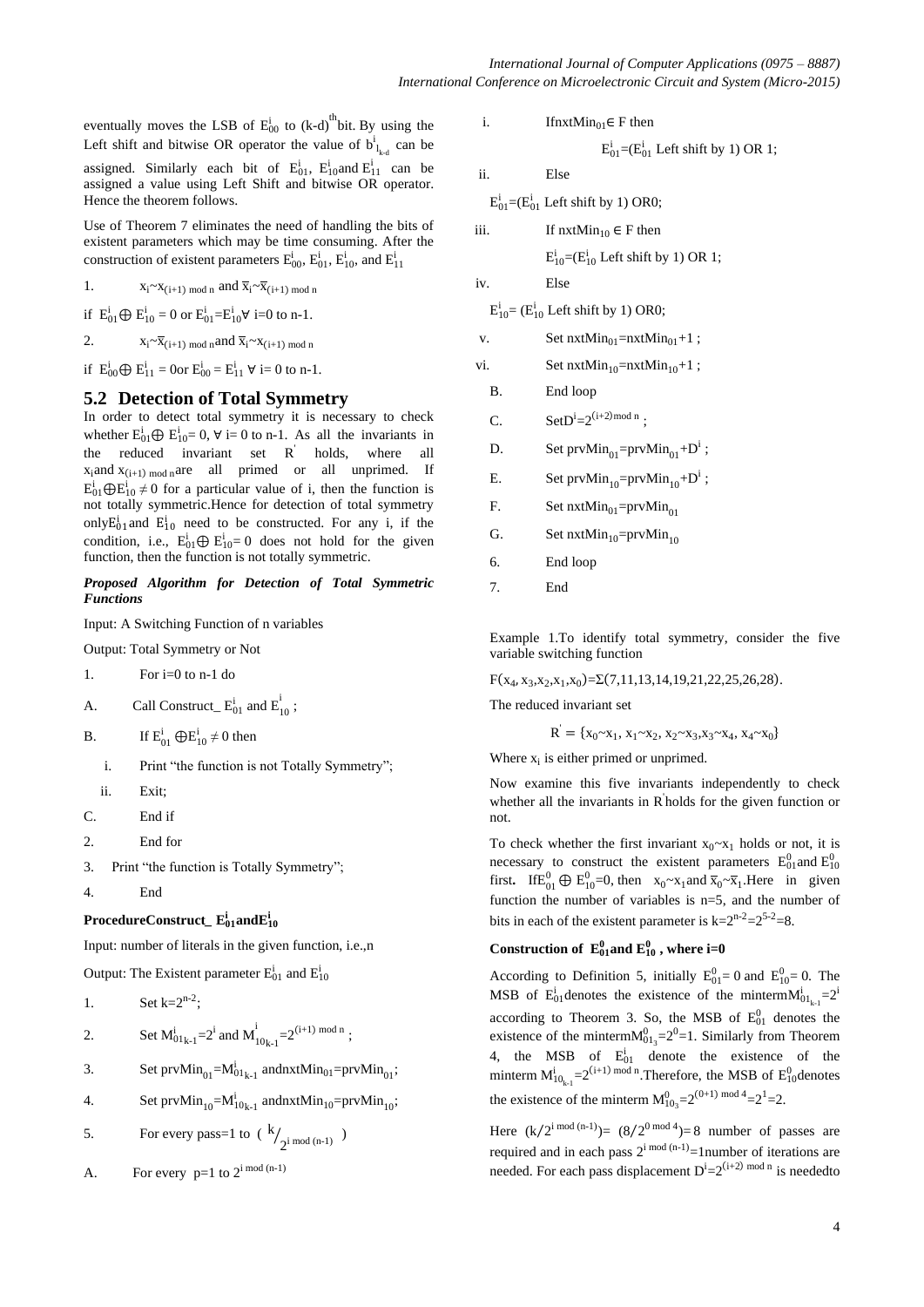eventually moves the LSB of  $E_{00}^{i}$  to (k-d)<sup>th</sup>bit. By using the Left shift and bitwise OR operator the value of  $b^i_{l_{k,d}}$  can be assigned. Similarly each bit of  $E_{01}^i$ ,  $E_{10}^i$  and  $E_{11}^i$  can be assigned a value using Left Shift and bitwise OR operator. Hence the theorem follows.

Use of Theorem 7 eliminates the need of handling the bits of existent parameters which may be time consuming. After the construction of existent parameters  $E_{00}^{i}$ ,  $E_{01}^{i}$ ,  $E_{10}^{i}$ , and  $E_{11}^{i}$ 

1.  $X_i \sim X_{i+1}$  mod n and  $\overline{X}_i \sim \overline{X}_{i+1}$  mod n

if  $E_{01}^i \oplus E_{10}^i = 0$  or  $E_{01}^i = E_{10}^i \forall i=0$  to n-1.

2.  $X_i \sim \overline{X}_{(i+1) \mod n}$  and  $\overline{X}_i \sim X_{(i+1) \mod n}$ 

if  $E_{00}^{i} \bigoplus E_{11}^{i} = 0$  or  $E_{00}^{i} = E_{11}^{i} \ \forall i = 0$  to n-1.

## **5.2 Detection of Total Symmetry**

In order to detect total symmetry it is necessary to check whether  $E_{01}^i \oplus E_{10}^i = 0$ ,  $\forall$  i= 0 to n-1. As all the invariants in the reduced invariant set R ' holds, where all  $x_i$ and  $x_{(i+1) \mod n}$ are all primed or all unprimed. If  $E_{01}^{i} \bigoplus E_{10}^{i} \neq 0$  for a particular value of i, then the function is not totally symmetric.Hence for detection of total symmetry only  $E_{01}^i$  and  $E_{10}^i$  need to be constructed. For any i, if the condition, i.e.,  $E_{01}^{i} \bigoplus E_{10}^{i} = 0$  does not hold for the given function, then the function is not totally symmetric.

#### *Proposed Algorithm for Detection of Total Symmetric Functions*

Input: A Switching Function of n variables

Output: Total Symmetry or Not

- 1. For i=0 to n-1 do
- A. Call Construct  $E_{01}^i$  and  $E_{10}^i$ ;

B. If  $E_{01}^i \bigoplus E_{10}^i \neq 0$  then

- i. Print "the function is not Totally Symmetry";
- ii. Exit;
- C. End if
- 2. End for
- 3. Print "the function is Totally Symmetry";

4. End

## $\mathbf{ProceedureConstruct\_E_{01}^{i}}$  and $\mathbf{E_{10}^{i}}$

Input: number of literals in the given function, i.e.,n

Output: The Existent parameter  $E_{01}^{i}$  and  $E_{10}^{i}$ 

$$
1. \qquad \qquad \text{Set } k = 2^{n-2};
$$

2. Set 
$$
M_{01_{k-1}}^i = 2^i
$$
 and  $M_{10_{k-1}}^i = 2^{(i+1) \mod n}$ ;

- 3. Set  $prvMin_{01} = M_{01_{k-1}}^i$  andnxt $Min_{01} = prvMin_{01}$ ;
- 4. Set  $prvMin_{10} = M_{10_{k-1}}^i$  andnxt $Min_{10} = prvMin_{10}$ ;

5. For every pass=1 to 
$$
(k/2^{i \mod (n-1)})
$$

A. For every 
$$
p=1
$$
 to  $2^{i \mod (n-1)}$ 

i. If 
$$
n_{01} \in F
$$
 then

$$
E_{01}^i
$$
 =  $(E_{01}^i$  Left shift by 1) OR 1;

ii. Else

 $E_{01}^{i}$ =( $E_{01}^{i}$  Left shift by 1) OR0;

iii. If  $n x t Min_{10} \in F$  then

 $E_{10}^{i}$ =( $E_{10}^{i}$  Left shift by 1) OR 1;

iv. Else

 $E_{10}^i$  = ( $E_{10}^i$  Left shift by 1) OR0;

v. Set  $nxtMin_{01}=nxtMin_{01}+1$ ;

vi. Set  $nxtMin_{10}=nxtMin_{10}+1$ ;

B. End loop

- C. SetD<sup>i</sup>=2<sup>(i+2)mod n</sup>;
- D. Set  $prvMin_{01} = prvMin_{01} + D^i$ ;
- E. Set  $prvMin_{10} = prvMin_{10} + D^i$ ;
- F. Set  $nxtMin_{01} = prvMin_{01}$
- G. Set  $n x t Min_{10} = prvMin_{10}$
- 6. End loop
- 7. End

Example 1.To identify total symmetry, consider the five variable switching function

 $F(x_4, x_3, x_2, x_1, x_0) = \Sigma(7, 11, 13, 14, 19, 21, 22, 25, 26, 28).$ 

The reduced invariant set

$$
\mathbf{R}^{\prime} = \{ \mathbf{x}_0 \sim \mathbf{x}_1, \, \mathbf{x}_1 \sim \mathbf{x}_2, \, \mathbf{x}_2 \sim \mathbf{x}_3, \mathbf{x}_3 \sim \mathbf{x}_4, \, \mathbf{x}_4 \sim \mathbf{x}_0 \}
$$

Where  $x_i$  is either primed or unprimed.

Now examine this five invariants independently to check whether all the invariants in R<sup>'</sup>holds for the given function or not.

To check whether the first invariant  $x_0 \sim x_1$  holds or not, it is necessary to construct the existent parameters  $E_{01}^{0}$  and  $E_{10}^{0}$ first. If  $E_{01}^0 \oplus E_{10}^0 = 0$ , then  $x_0 \sim x_1$  and  $\overline{x}_0 \sim \overline{x}_1$ . Here in given function the number of variables is n=5, and the number of bits in each of the existent parameter is  $k=2^{n-2}=2^{5-2}=8$ .

## Construction of  $E_{01}^0$  and  $E_{10}^0$ , where i=0

According to Definition 5, initially  $E_{01}^0 = 0$  and  $E_{10}^0 = 0$ . The MSB of  $E_{01}^{i}$  denotes the existence of the minterm $M_{01_{k-1}}^{i}$ =2<sup>i</sup> according to Theorem 3. So, the MSB of  $E_{01}^0$  denotes the existence of the minterm $M_{01_3}^0$ = $2^0$ =1. Similarly from Theorem 4, the MSB of  $E_{01}^i$  denote the existence of the minterm  $M_{10_{k-1}}^{i} = 2^{(i+1) \mod n}$ . Therefore, the MSB of  $E_{10}^{0}$  denotes the existence of the minterm  $M_{10_3}^{0}=2^{(0+1) \text{ mod } 4}=2^1=2$ .

Here  $(k/2^{i \mod (n-1)}) = (8/2^{0 \mod 4}) = 8$  number of passes are required and in each pass  $2^{i \mod (n-1)} = 1$  number of iterations are needed. For each pass displacement  $D^{i}=2^{(i+2) \mod n}$  is neededto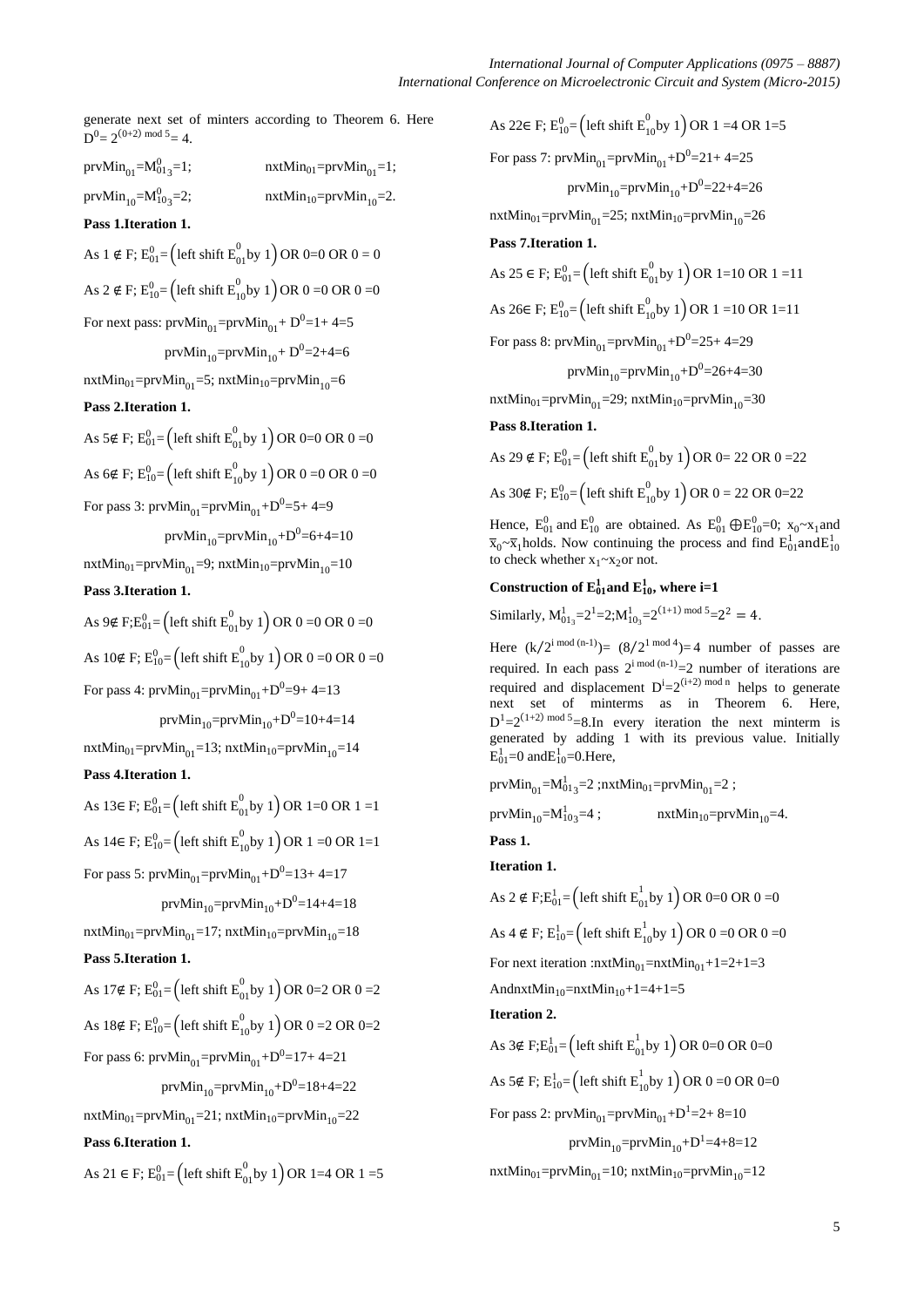generate next set of minters according to Theorem 6. Here  $D^0 = 2^{(0+2) \mod 5} = 4.$ 

prv $\text{Min}_{01}$ = $\text{M}_{013}^0$  $nxtMin_{01}=prvMin_{01}=1;$ prv $\text{Min}_{10} = \text{M}_{103}^0$  $nxtMin_{10}=prvMin_{10}=2.$ 

**Pass 1.Iteration 1.**

As 1 ∉ F;  $E_{01}^{0} =$  (left shift  $E_{01}^{0}$  by 1) OR 0=0 OR 0 = 0 As 2 ∉ F;  $E_{10}^{0}$  = (left shift  $E_{10}^{0}$ by 1) OR 0 =0 OR 0 =0 For next pass:  $prvMin_{01} = prvMin_{01} + D^0 = 1 + 4 = 5$ prvMin<sub>10</sub>=prvMin<sub>10</sub>+ D<sup>0</sup>=2+4=6

 $nxtMin_{01}=prvMin_{01}=5$ ;  $nxtMin_{10}=prvMin_{10}=6$ 

## **Pass 2.Iteration 1.**

As 5∉ F;  $E_{01}^{0} = \left($  left shift  $E_{01}^{0}$  by 1 $\right)$  OR 0=0 OR 0 =0

As 6∉ F;  $E_{10}^{0}$ = (left shift  $E_{10}^{0}$ by 1) OR 0 =0 OR 0 =0

For pass 3:  $\text{prvMin}_{01} = \text{prvMin}_{01} + D^0 = 5 + 4 = 9$ 

$$
prvMin_{10} = prvMin_{10} + D^0 = 6 + 4 = 10
$$

 $nxtMin_{01}=prvMin_{01}=9$ ;  $nxtMin_{10}=prvMin_{10}=10$ **Pass 3.Iteration 1.**

As 9∉ F;E<sup>0</sup><sub>01</sub>= (left shift E<sup>0</sup><sub>01</sub> by 1) OR 0 =0 OR 0 =0 As 10∉ F;  $E_{10}^{0}$ = (left shift  $E_{10}^{0}$ by 1) OR 0 =0 OR 0 =0

For pass 4:  $prvMin_{01} = prvMin_{01} + D^0 = 9 + 4 = 13$ 

prv $\mathrm{Min}_{10}$ =prv $\mathrm{Min}_{10}$ + $\mathrm{D}^{0}{=}$ 10+4=14

 $nxtMin_{01}=prvMin_{01}=13$ ;  $nxtMin_{10}=prvMin_{10}=14$ **Pass 4.Iteration 1.**

As 13∈ F;  $E_{01}^{0}$ = (left shift  $E_{01}^{0}$ by 1) OR 1=0 OR 1 =1 As 14∈ F;  $E_{10}^{0}$ = (left shift  $E_{10}^{0}$ by 1) OR 1 =0 OR 1=1 For pass 5:  $prvMin_{01} = prvMin_{01} + D^0 = 13 + 4 = 17$ 

prv $\mathrm{Min}_{10}$ =prv $\mathrm{Min}_{10}$ + $\mathrm{D}^{0}$ =14+4=18

 $nxtMin_{01}=prvMin_{01}=17$ ;  $nxtMin_{10}=prvMin_{10}=18$ 

**Pass 5.Iteration 1.**

As 17∉ F;  $E_{01}^{0}$ = (left shift  $E_{01}^{0}$ by 1) OR 0=2 OR 0 =2 As 18∉ F;  $E_{10}^{0}$ = (left shift  $E_{10}^{0}$ by 1) OR 0 =2 OR 0=2

For pass 6:  $prvMin_{01} = prvMin_{01} + D^0 = 17 + 4 = 21$ 

prv ${\rm Min}_{10}$ =prv ${\rm Min}_{10}$ + ${\rm D}^0$ =18+4=22

 $nxtMin_{01}=prvMin_{01}=21; nxtMin_{10}=prvMin_{10}=22$ 

## **Pass 6.Iteration 1.**

As 21 ∈ F;  $E_{01}^0$  = (left shift  $E_{01}^0$  by 1) OR 1=4 OR 1 =5

As 22∈ F;  $E_{10}^{0}$ = (left shift  $E_{10}^{0}$ by 1) OR 1 =4 OR 1=5 For pass 7:  $prvMin_{01} = prvMin_{01} + D^0 = 21 + 4 = 25$ prvMin<sub>10</sub>=prvMin<sub>10</sub>+ $D^0$ =22+4=26  $nxtMin_{01}=prvMin_{01}=25$ ;  $nxtMin_{10}=prvMin_{10}=26$ **Pass 7.Iteration 1.**

As 25 ∈ F;  $E_{01}^0$  = (left shift  $E_{01}^0$  by 1) OR 1=10 OR 1 =11 As 26∈ F;  $E_{10}^{0}$ = (left shift  $E_{10}^{0}$ by 1) OR 1 =10 OR 1=11

For pass 8:  $prvMin_{01} = prvMin_{01} + D^0 = 25 + 4 = 29$ 

prvMin<sub>10</sub>=prvMin<sub>10</sub>+ $D^{0}=26+4=30$ 

 $nxtMin_{01}=prvMin_{01}=29$ ;  $nxtMin_{10}=prvMin_{10}=30$ 

#### **Pass 8.Iteration 1.**

As 29 ∉ F;  $E_{01}^{0}$ = (left shift  $E_{01}^{0}$ by 1) OR 0= 22 OR 0 =22 As 30∉ F;  $E_{10}^{0}$  = (left shift  $E_{10}^{0}$ by 1) OR 0 = 22 OR 0=22

Hence,  $E_{01}^{0}$  and  $E_{10}^{0}$  are obtained. As  $E_{01}^{0} \bigoplus E_{10}^{0} = 0$ ;  $x_0 \sim x_1$  and  $\overline{x}_0 \sim \overline{x}_1$ holds. Now continuing the process and find  $E_{01}^1$  and  $E_{10}^1$ to check whether  $x_1 \sim x_2$ or not.

## Construction of  $E_{01}^1$  and  $E_{10}^1$ , where i=1

Similarly,  $M_{01_3}^1 = 2^1 = 2; M_{10_3}^1 = 2^{(1+1) \text{ mod } 5} = 2^2 = 4.$ 

Here  $(k/2^{i \mod{(n-1)}}) = (8/2^{1 \mod{4}}) = 4$  number of passes are required. In each pass  $2^{i \mod (n-1)}=2$  number of iterations are required and displacement  $D^{i}=2^{(i+2) \mod n}$  helps to generate next set of minterms as in Theorem 6. Here,  $D^{1}=2^{(1+2) \mod 5}=8$ . In every iteration the next minterm is generated by adding 1 with its previous value. Initially  $E_{01}^1$ =0 and $E_{10}^1$ =0.Here,

prv $\text{Min}_{01} = \text{M}_{013}^{1} = 2$ ;nxt $\text{Min}_{01} = \text{prvMin}_{01} = 2$ ;

$$
\text{prvMin}_{10} = \text{M}_{103}^1 = 4 ; \quad \text{nxtMin}_{10} = \text{prvMin}_{10} = 4.
$$

**Pass 1. Iteration 1.**

As 2 ∉ F;E<sub>01</sub>= (left shift E<sub>01</sub> by 1) OR 0=0 OR 0 =0 As 4 ∉ F;  $E_{10}^{1}$ = (left shift  $E_{10}^{1}$ by 1) OR 0 =0 OR 0 =0 For next iteration : $nxtMin_{01}=nxtMin_{01}+1=2+1=3$ AndnxtMin<sub>10</sub>=nxtMin<sub>10</sub>+1=4+1=5 **Iteration 2.**

As 3∉ F;E $_{01}^{1}$ = (left shift E $_{01}^{1}$ by 1) OR 0=0 OR 0=0 As 5∉ F;  $E_{10}^{1}$ = (left shift  $E_{10}^{1}$ by 1) OR 0 =0 OR 0=0 For pass 2:  $prvMin_{01} = prvMin_{01} + D^1 = 2 + 8 = 10$ prvMin<sub>10</sub>=prvMin<sub>10</sub>+D<sup>1</sup>=4+8=12  $nxtMin_{01}=prvMin_{01}=10$ ;  $nxtMin_{10}=prvMin_{10}=12$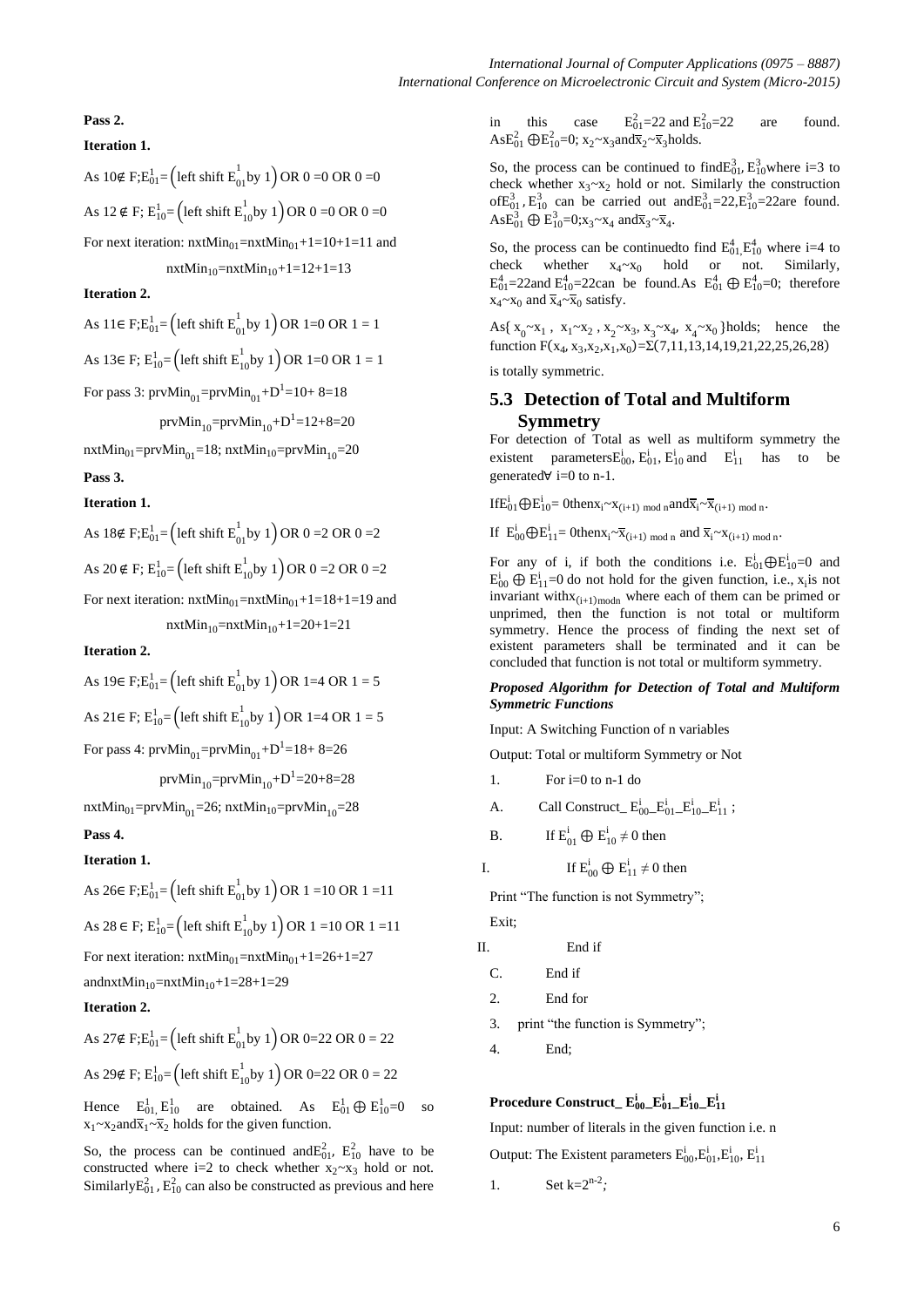## **Pass 2.**

## **Iteration 1.**

As 10∉ F;E<sub>01</sub>= (left shift E<sub>01</sub> by 1) OR 0 =0 OR 0 =0 As 12 ∉ F;  $E_{10}^{1}$ = (left shift  $E_{10}^{1}$ by 1) OR 0 =0 OR 0 =0 For next iteration:  $nxtMin_{01}=nxtMin_{01}+1=10+1=11$  and

 $nxtMin_{10}=nxtMin_{10}+1=12+1=13$ 

**Iteration 2.**

As 11∈ F; $E_{01}^{1}$ = (left shift  $E_{01}^{1}$ by 1) OR 1=0 OR 1 = 1

As 13∈ F;  $E_{10}^{1}$ = (left shift  $E_{10}^{1}$ by 1) OR 1=0 OR 1 = 1

For pass 3:  $prvMin_{01} = prvMin_{01} + D^1 = 10 + 8 = 18$ 

prv $\mathrm{Min}_{10}$ =prv $\mathrm{Min}_{10}$ + $\mathrm{D}^{1}$ =12+8=20

 $nxtMin_{01}=prvMin_{01}=18$ ;  $nxtMin_{10}=prvMin_{10}=20$ 

**Pass 3.**

#### **Iteration 1.**

As 
$$
18 \notin F; E_{01}^1 = (\text{left shift } E_{01}^1 \text{ by } 1) \text{ OR } 0 = 2 \text{ OR } 0 = 2
$$
  
\nAs  $20 \notin F; E_{10}^1 = (\text{left shift } E_{10}^1 \text{ by } 1) \text{ OR } 0 = 2 \text{ OR } 0 = 2$   
\nFor next iteration:  $n x t \text{ Min}_{01} = nx t \text{ Min}_{01} + 1 = 18 + 1 = 19$  and  $n x t \text{ Min}_{10} = nx t \text{ Min}_{10} + 1 = 20 + 1 = 21$ 

#### **Iteration 2.**

As 19
$$
\in
$$
 F; $E_{01}^1$  = (left shift  $E_{01}^1$  by 1) OR 1=4 OR 1 = 5  
As 21 $\in$  F;  $E_{10}^1$  = (left shift  $E_{10}^1$  by 1) OR 1=4 OR 1 = 5

For pass 4:  $\text{prvMin}_{01} = \text{prvMin}_{01} + D^1 = 18 + 8 = 26$ 

prv $\mathrm{Min}_{10}$ =prv $\mathrm{Min}_{10}$ + $\mathrm{D}^1$ =20+8=28

 $nxtMin_{01}=prvMin_{01}=26$ ;  $nxtMin_{10}=prvMin_{10}=28$ 

#### **Pass 4.**

## **Iteration 1.**

As 
$$
26 \in F; E_{01}^1 = (\text{left shift } E_{01}^1 \text{ by } 1) \text{ OR } 1 = 10 \text{ OR } 1 = 11
$$
  
As  $28 \in F; E_{10}^1 = (\text{left shift } E_{10}^1 \text{ by } 1) \text{ OR } 1 = 10 \text{ OR } 1 = 11$   
For next iteration:  $n \times \text{Min}_{01} = n \times \text{Min}_{01} + 1 = 26 + 1 = 27$   
and  $n \times \text{Min}_{10} = n \times \text{Min}_{10} + 1 = 28 + 1 = 29$ 

## **Iteration 2.**

As 27∉ F; $E_{01}^{1}$ = (left shift  $E_{01}^{1}$ by 1) OR 0=22 OR 0 = 22 As 29∉ F;  $E_{10}^{1}$  = (left shift  $E_{10}^{1}$ by 1) OR 0=22 OR 0 = 22

Hence  $E_{01}^1$ ,  $E_{10}^1$  are obtained. As  $E_{01}^1 \oplus E_{10}^1 = 0$  so  $x_1 \sim x_2$  and  $\overline{x}_1 \sim \overline{x}_2$  holds for the given function.

So, the process can be continued and  $E_{01}^2$ ,  $E_{10}^2$  have to be constructed where i=2 to check whether  $x_2 \sim x_3$  hold or not. Similarly $E_{01}^2$ ,  $E_{10}^2$  can also be constructed as previous and here in this case  $E_{01}^2 = 22$  and  $E_{10}^2$ are found. AsE<sup>2</sup><sub>01</sub>  $\oplus$ E<sup>2</sup><sub>10</sub>=0; x<sub>2</sub>~x<sub>3</sub>and $\overline{x}_2$ ~ $\overline{x}_3$ holds.

So, the process can be continued to find  $E_{01}^3$ ,  $E_{10}^3$  where i=3 to check whether  $x_3 \sim x_2$  hold or not. Similarly the construction of $E_{01}^{3}$ ,  $E_{10}^{3}$  can be carried out and  $E_{01}^{3}=22$ ,  $E_{10}^{3}=22$  are found.  $\text{As} E_{01}^3 \oplus E_{10}^3 = 0; x_3 \sim x_4 \text{ and } \overline{x}_3 \sim \overline{x}_4.$ 

So, the process can be continued to find  $E_{01}^4E_{10}^4$  where i=4 to check whether  $x_4 \sim x_0$  hold or not. Similarly,  $E_{01}^{4}$ =22and  $E_{10}^{4}$ =22can be found.As  $E_{01}^{4} \oplus E_{10}^{4}$ =0; therefore  $x_4 \sim x_0$  and  $\overline{x}_4 \sim \overline{x}_0$  satisfy.

As{ $x_0 \sim x_1$ ,  $x_1 \sim x_2$ ,  $x_2 \sim x_3$ ,  $x_3 \sim x_4$ ,  $x_4 \sim x_0$ } holds; hence the function  $F(x_4, x_3, x_2, x_1, x_0) = \Sigma(7, 11, 13, 14, 19, 21, 22, 25, 26, 28)$ 

is totally symmetric.

## **5.3 Detection of Total and Multiform Symmetry**

For detection of Total as well as multiform symmetry the existent parameters $E_{00}^{i}$ ,  $E_{01}^{i}$ ,  $E_{10}^{i}$  and  $E_{11}^{i}$  has to be generated∀ i=0 to n-1.

If  $E_{01}^i \bigoplus E_{10}^i = 0$ then $x_i \sim x_{i+1}$  mod n and  $\overline{x}_i \sim \overline{x}_{i+1}$  mod n.

If  $E_{00}^{i} \bigoplus E_{11}^{i} = 0$ then $x_i \sim \overline{x}_{(i+1) \mod n}$  and  $\overline{x}_i \sim x_{(i+1) \mod n}$ .

For any of i, if both the conditions i.e.  $E_{01}^{i} \bigoplus E_{10}^{i} = 0$  and  $E_{00}^{i} \oplus E_{11}^{i} = 0$  do not hold for the given function, i.e.,  $x_i$  is not invariant with $x_{(i+1) \text{ modn}}$  where each of them can be primed or unprimed, then the function is not total or multiform symmetry. Hence the process of finding the next set of existent parameters shall be terminated and it can be concluded that function is not total or multiform symmetry.

#### *Proposed Algorithm for Detection of Total and Multiform Symmetric Functions*

Input: A Switching Function of n variables

Output: Total or multiform Symmetry or Not

- 1. For i=0 to n-1 do
- A. Call Construct\_ $E_{00}^{i}$  $E_{01}^{i}$  $E_{10}^{i}$  $E_{11}^{i}$ ;
- B. If  $E_{01}^i \oplus E_{10}^i \neq 0$  then

I. If  $E_{00}^{i} \oplus E_{11}^{i} \neq 0$  then

Print "The function is not Symmetry"; Exit;

II. End if

C. End if

- 2. End for
- 3. print "the function is Symmetry";
- 4. End;

## $\mathbf{P}$ rocedure Construct\_ $\mathbf{E}_{00}^{\text{i}}$ \_ $\mathbf{E}_{01}^{\text{i}}$ \_ $\mathbf{E}_{10}^{\text{i}}$ \_ $\mathbf{E}_{11}^{\text{i}}$

Input: number of literals in the given function i.e. n

Output: The Existent parameters  $E_{00}^{i}E_{01}^{i}E_{10}^{i}$ ,  $E_{11}^{i}$ 

1. Set  $k=2^{n-2}$ ;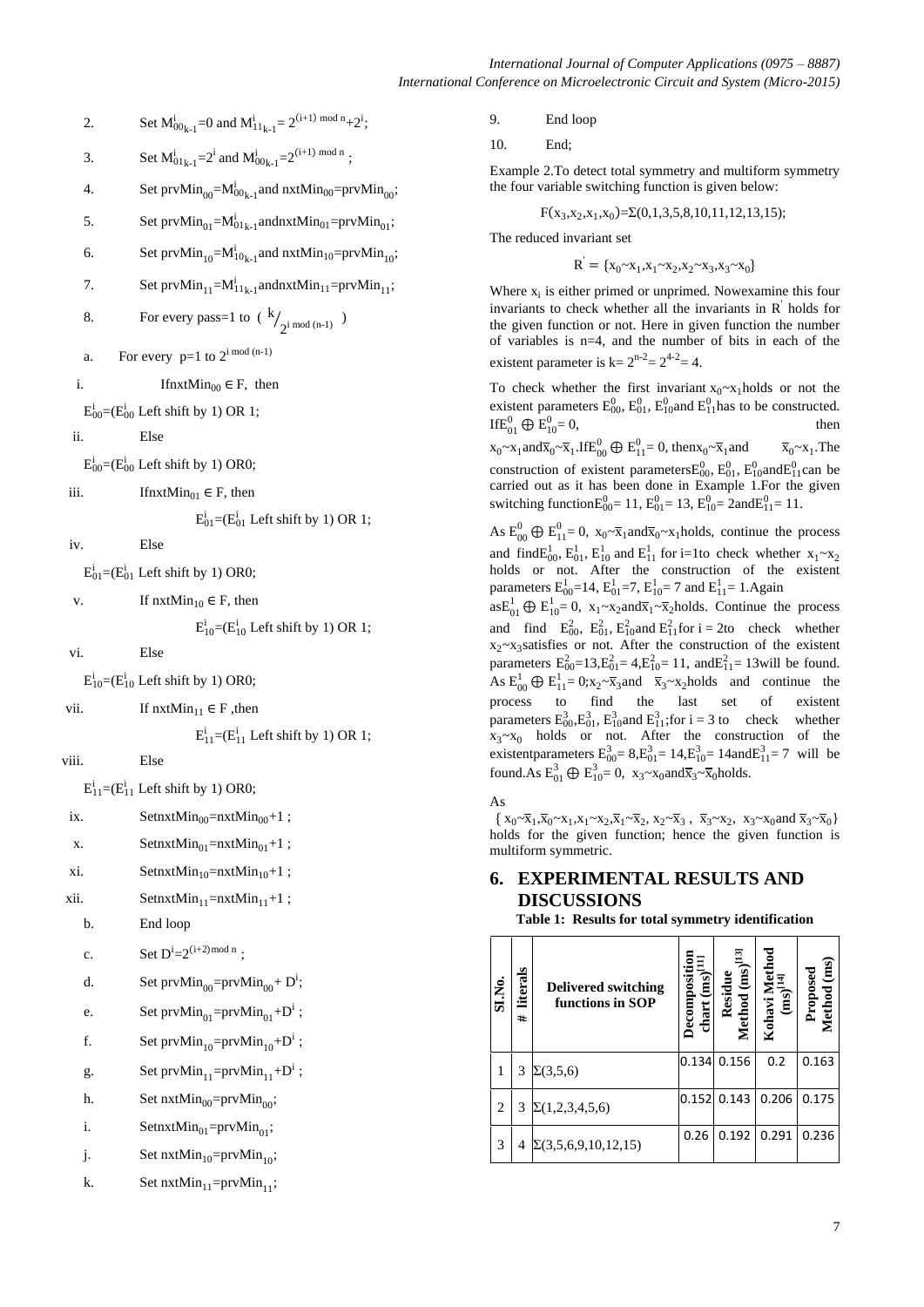- 2. Set  $M_{00_{k-1}}^i = 0$  and  $M_{11_{k-1}}^i = 2^{(i+1) \mod n} + 2^i$ ;
- 3. Set  $M^{i}_{01_{k-1}} = 2^{i}$  and  $M^{i}_{00_{k-1}} = 2^{(i+1) \mod n}$ ;
- 4. Set  $prvMin_{00} = M_{00_{k-1}}^i$  and  $nxtMin_{00} = prvMin_{00}$ ;
- 5. Set  $prvMin_{01} = M_{01_{k-1}}^i$ andnxt $Min_{01} = prvMin_{01}$ ;
- 6. Set  $prvMin_{10} = M_{10_{k-1}}^i$  and  $nxtMin_{10} = prvMin_{10}$ ;
- 7. Set  $prvMin_{11} = Mi_{11_{k-1}}$ andnxt $Min_{11} = prvMin_{11}$ ;
- 8. For every pass=1 to  $(k$  $\frac{1}{2^{i} \mod (n-1)}$
- a. For every  $p=1$  to  $2^{i \mod (n-1)}$
- i. If  $\text{InxtMin}_{00} \in \mathbb{F}$ , then

 $E_{00}^{i}$ =( $E_{00}^{i}$  Left shift by 1) OR 1;

ii. Else

 $E_{00}^{i}$ =( $E_{00}^{i}$  Left shift by 1) OR0;

iii. IfnxtMin<sub>01</sub>  $\in$  F, then

 $E_{01}^{i}$ =( $E_{01}^{i}$  Left shift by 1) OR 1;

iv. Else

 $E_{01}^{i}$ =( $E_{01}^{i}$  Left shift by 1) OR0;

v. If  $n \times 10^{10} \in F$ , then

```
E_{10}^{i}=(E_{10}^{i} Left shift by 1) OR 1;
```
vi. Else

 $E_{10}^{i}$ =( $E_{10}^{i}$  Left shift by 1) OR0;

```
vii. If n \times Min<sub>11</sub> ∈ F ,then
```
 $E_{11}^{i}$ =( $E_{11}^{i}$  Left shift by 1) OR 1;

viii. Else

 $E_{11}^{i}$ =( $E_{11}^{i}$  Left shift by 1) OR0;

- ix. SetnxtMin<sub>00</sub>=nxtMin<sub>00</sub>+1;
- x.  $\text{SetnxtMin}_{01} = \text{nxtMin}_{01} + 1$ ;
- xi. SetnxtMin<sub>10</sub>=nxtMin<sub>10</sub>+1;

xii. SetnxtMin<sub>11</sub>=nxtMin<sub>11</sub>+1;

b. End loop

```
c. Set D^{i}=2^{(i+2) \text{ mod } n};
```
- d. Set  $prvMin_{00} = prvMin_{00} + D^i$ ;
- e. Set  $prvMin_{01} = prvMin_{01} + D^i$ ;
- f. Set  $prvMin_{10} = prvMin_{10} + D^i$ ;
- g. Set  $prvMin_{11} = prvMin_{11} + D^i$ ;
- h. Set  $nxtMin_{00} = prvMin_{00};$
- i. Setnxt $Min_{01} = prvMin_{01};$
- j. Set nxt $Min_{10} = prvMin_{10};$
- k. Set nxt $Min_{11}$ =prv $Min_{11}$ ;

9. End loop

10. End;

Example 2.To detect total symmetry and multiform symmetry the four variable switching function is given below:

$$
F(x_3, x_2, x_1, x_0) = \Sigma(0, 1, 3, 5, 8, 10, 11, 12, 13, 15);
$$

The reduced invariant set

$$
\mathbf{R}^{\prime} = \{ \mathbf{x}_0 \sim \mathbf{x}_1, \mathbf{x}_1 \sim \mathbf{x}_2, \mathbf{x}_2 \sim \mathbf{x}_3, \mathbf{x}_3 \sim \mathbf{x}_0 \}
$$

Where  $x_i$  is either primed or unprimed. Nowexamine this four invariants to check whether all the invariants in R ' holds for the given function or not. Here in given function the number of variables is n=4, and the number of bits in each of the existent parameter is  $k = 2^{n-2} = 2^{4-2} = 4$ .

To check whether the first invariant  $x_0 \sim x_1$  holds or not the existent parameters  $E_{00}^{0}$ ,  $E_{01}^{0}$ ,  $E_{10}^{0}$  and  $E_{11}^{0}$  has to be constructed. If  $E_{01}^0 \oplus E_{10}^0$  $= 0$ , then

 $x_0 \sim x_1$ and $\overline{x}_0 \sim \overline{x}_1$ .If $E_{00}^0 \oplus E_{11}^0 = 0$ , then $x_0 \sim \overline{x}_1$  and  $\overline{x}_0 \sim x_1$  $\overline{x}_0 \sim x_1$ . The construction of existent parameters  $E_{00}^0$ ,  $E_{01}^0$ ,  $E_{10}^0$  and  $E_{11}^0$  can be carried out as it has been done in Example 1.For the given switching function $E_{00}^{0} = 11$ ,  $E_{01}^{0} = 13$ ,  $E_{10}^{0} = 2$ and $E_{11}^{0} = 11$ .

As  $E_{00}^{0} \oplus E_{11}^{0} = 0$ ,  $x_0 \sim \overline{x}_1$  and  $\overline{x}_0 \sim x_1$  holds, continue the process and find  $E_{00}^1$ ,  $E_{10}^1$  and  $E_{11}^1$  for i=1to check whether  $x_1 \sim x_2$ holds or not. After the construction of the existent parameters  $E_{00}^{1}$ =14,  $E_{01}^{1}$ =7,  $E_{10}^{1}$ = 7 and  $E_{11}^{1}$ = 1.Again

 $asE_{01}^1 \oplus E_{10}^1 = 0$ ,  $x_1 \sim x_2$  and  $\overline{x}_1 \sim \overline{x}_2$  holds. Continue the process and find  $E_{00}^2$ ,  $E_{01}^2$ ,  $E_{10}^2$  and  $E_{11}^2$  for  $i = 2$  to check whether  $x_2 \sim x_3$  satisfies or not. After the construction of the existent parameters  $E_{00}^2 = 13$ ,  $E_{01}^2 = 4$ ,  $E_{10}^2 = 11$ , and  $E_{11}^2 = 13$  will be found. As  $E_{00}^1 \oplus E_{11}^1 = 0$ ; $x_2 \sim \overline{x}_3$  and  $\overline{x}_3 \sim x_2$  holds and continue the process to find the last set of existent parameters  $E_{00}^3$ ,  $E_{01}^3$ ,  $E_{10}^3$  and  $E_{11}^3$ ; for i = 3 to check whether  $x_3 \sim x_0$  holds or not. After the construction of the existent parameters  $E_{00}^{3} = 8, E_{01}^{3} = 14, E_{10}^{3} = 14$  and  $E_{11}^{3} = 7$  will be found.As  $E_{01}^3 \oplus E_{10}^3 = 0$ ,  $x_3 \sim x_0$ and $\overline{x}_3 \sim \overline{x}_0$ holds.

As

 $\{x_0 \sim \overline{x}_1, \overline{x}_0 \sim x_1, x_1 \sim x_2, \overline{x}_1 \sim \overline{x}_2, x_2 \sim \overline{x}_3, \overline{x}_3 \sim x_2, x_3 \sim x_0 \text{ and } \overline{x}_3 \sim \overline{x}_0\}$ holds for the given function; hence the given function is multiform symmetric.

# **6. EXPERIMENTAL RESULTS AND DISCUSSIONS**

**Table 1: Results for total symmetry identification**

| SI.No. | literals<br># | <b>Delivered switching</b><br>functions in SOP | $chart$ $(ms)^{[1]}$<br>Decompositi | Method $(ms)^{[13]}$<br>Residue | Kohavi Metho<br>(ms) <sup>[14]</sup> | Method (ms)<br>Proposed |
|--------|---------------|------------------------------------------------|-------------------------------------|---------------------------------|--------------------------------------|-------------------------|
| 1      | 3             | $\Sigma(3,5,6)$                                | 0.134                               | 0.156                           | 0.2                                  | 0.163                   |
| 2      | 3             | $\Sigma(1,2,3,4,5,6)$                          | 0.152                               | 0.143                           | 0.206                                | 0.175                   |
| 3      | 4             | $\Sigma(3,5,6,9,10,12,15)$                     | 0.26                                | 0.192                           | 0.291                                | 0.236                   |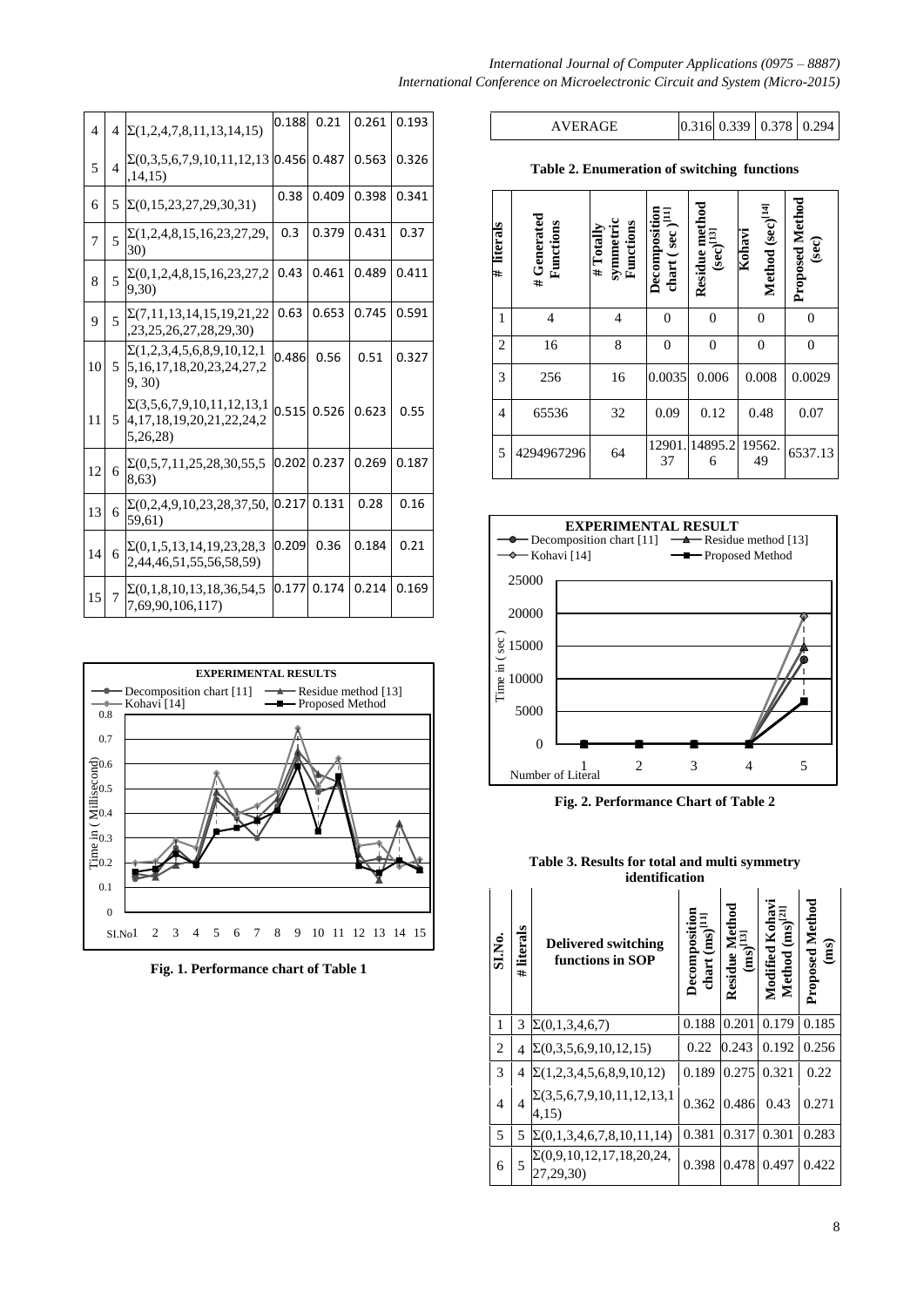| $\overline{4}$ | $\overline{4}$ | $\Sigma(1,2,4,7,8,11,13,14,15)$                                                     | 0.188 | 0.21  | 0.261 | 0.193 |
|----------------|----------------|-------------------------------------------------------------------------------------|-------|-------|-------|-------|
| 5              | $\overline{4}$ | $\Sigma(0,3,5,6,7,9,10,11,12,13)$<br>,14,15)                                        | 0.456 | 0.487 | 0.563 | 0.326 |
| 6              | 5              | $\Sigma(0, 15, 23, 27, 29, 30, 31)$                                                 | 0.38  | 0.409 | 0.398 | 0.341 |
| 7              | 5              | $\Sigma(1,2,4,8,15,16,23,27,29,$<br>30)                                             | 0.3   | 0.379 | 0.431 | 0.37  |
| 8              | 5              | $\Sigma(0,1,2,4,8,15,16,23,27,2)$<br>9,30)                                          | 0.43  | 0.461 | 0.489 | 0.411 |
| 9              | 5              | $\Sigma(7,11,13,14,15,19,21,22)$<br>,23,25,26,27,28,29,30)                          | 0.63  | 0.653 | 0.745 | 0.591 |
| 10             | 5              | $\Sigma(1,2,3,4,5,6,8,9,10,12,1)$<br>5, 16, 17, 18, 20, 23, 24, 27, 2<br>9, 30)     | 0.486 | 0.56  | 0.51  | 0.327 |
| 11             | 5              | $\Sigma(3,5,6,7,9,10,11,12,13,1)$<br>4, 17, 18, 19, 20, 21, 22, 24, 2<br>5, 26, 28) | 0.515 | 0.526 | 0.623 | 0.55  |
| 12             | 6              | $\Sigma(0,5,7,11,25,28,30,55,5)$<br>8,63)                                           | 0.202 | 0.237 | 0.269 | 0.187 |
| 13             | 6              | $\Sigma(0,2,4,9,10,23,28,37,50,$<br>59,61)                                          | 0.217 | 0.131 | 0.28  | 0.16  |
| 14             | 6              | $\Sigma(0,1,5,13,14,19,23,28,3)$<br>2,44,46,51,55,56,58,59)                         | 0.209 | 0.36  | 0.184 | 0.21  |
| 15             | $\overline{7}$ | $\Sigma(0,1,8,10,13,18,36,54,5)$<br>7,69,90,106,117)                                | 0.177 | 0.174 | 0.214 | 0.169 |



**Fig. 1. Performance chart of Table 1**

## *International Journal of Computer Applications (0975 – 8887) International Conference on Microelectronic Circuit and System (Micro-2015)*

AVERAGE 0.316 0.339 0.378 0.294

**Table 2. Enumeration of switching functions**

| literals<br>#  | # Generated<br>Functions | symmetric<br>Functions<br># Totally | Decomposition<br>chart (sec $)$ <sup>[11]</sup> | Residue method<br>$({\rm sec})^{[13]}$ | Method (sec) <sup>[14]</sup><br>Kohavi | <b>Proposed Method</b><br>(sec) |
|----------------|--------------------------|-------------------------------------|-------------------------------------------------|----------------------------------------|----------------------------------------|---------------------------------|
| 1              | $\overline{4}$           | 4                                   | $\boldsymbol{0}$                                | $\overline{0}$                         | $\boldsymbol{0}$                       | $\overline{0}$                  |
| $\overline{c}$ | 16                       | 8                                   | $\mathbf{0}$                                    | $\boldsymbol{0}$                       | $\boldsymbol{0}$                       | $\overline{0}$                  |
| 3              | 256                      | 16                                  | 0.0035                                          | 0.006                                  | 0.008                                  | 0.0029                          |
| 4              | 65536                    | 32                                  | 0.09                                            | 0.12                                   | 0.48                                   | 0.07                            |
| 5              | 4294967296               | 64                                  | 12901.<br>37                                    | 14895.2<br>6                           | 19562.<br>49                           | 6537.13                         |



**Fig. 2. Performance Chart of Table 2**

**Table 3. Results for total and multi symmetry identification**

|                |                | ниспинсанон                                    |                                      |                                                                                |                                               |                                |
|----------------|----------------|------------------------------------------------|--------------------------------------|--------------------------------------------------------------------------------|-----------------------------------------------|--------------------------------|
| SI.No.         | literals<br>#  | <b>Delivered switching</b><br>functions in SOP | Decomposition<br>chart $(ms)^{[11]}$ | ${\bf Residue Method}\\ \begin{array}{c} \textbf{(ms)}^{\rm [13]} \end{array}$ | Modified Kohav<br>Method (ms) <sup>[21]</sup> | <b>Proposed Method</b><br>(ms) |
| 1              | 3              | $\Sigma(0,1,3,4,6,7)$                          | 0.188                                | 0.201                                                                          | 0.179                                         | 0.185                          |
| 2              | 4              | $\Sigma(0,3,5,6,9,10,12,15)$                   | 0.22                                 | 0.243                                                                          | 0.192                                         | 0.256                          |
| 3              | 4              | $\Sigma(1,2,3,4,5,6,8,9,10,12)$                | 0.189                                | 0.275                                                                          | 0.321                                         | 0.22                           |
| $\overline{4}$ | $\overline{4}$ | $\Sigma(3,5,6,7,9,10,11,12,13,1)$<br>4,15)     | 0.362                                | 0.486                                                                          | 0.43                                          | 0.271                          |
| 5              | 5              | $\Sigma(0,1,3,4,6,7,8,10,11,14)$               | 0.381                                | 0.317                                                                          | 0.301                                         | 0.283                          |
| 6              | 5              | $\Sigma(0,9,10,12,17,18,20,24,$<br>27,29,30)   | 0.398                                | 0.478                                                                          | 0.497                                         | 0.422                          |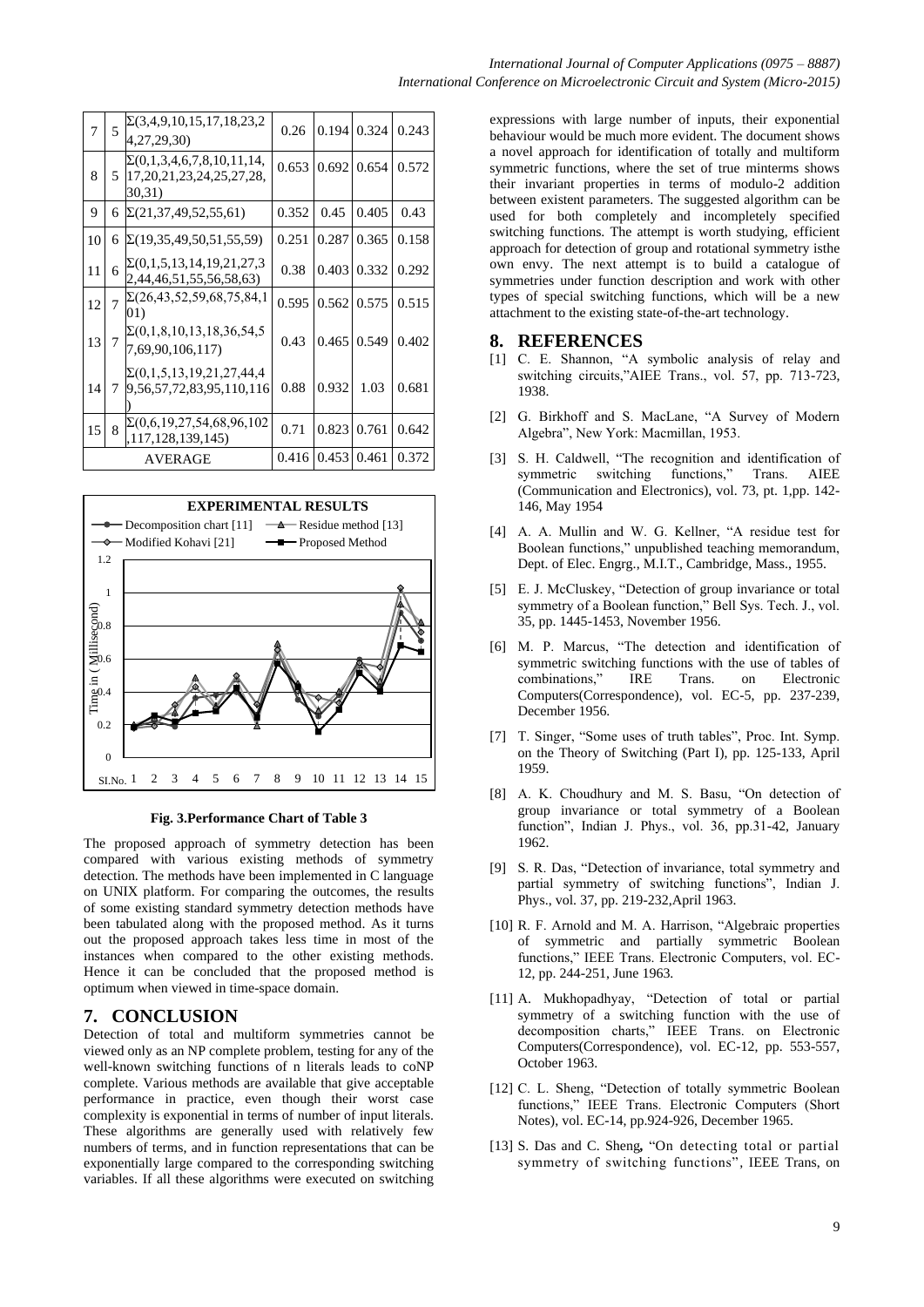| 7  | 5 | $\Sigma(3,4,9,10,15,17,18,23,2)$<br>4,27,29,30)                               | 0.26  | 0.194 | 0.324 | 0.243 |
|----|---|-------------------------------------------------------------------------------|-------|-------|-------|-------|
| 8  | 5 | $\Sigma(0,1,3,4,6,7,8,10,11,14,$<br>17, 20, 21, 23, 24, 25, 27, 28,<br>30,31) | 0.653 | 0.692 | 0.654 | 0.572 |
| 9  | 6 | $\Sigma(21,37,49,52,55,61)$                                                   | 0.352 | 0.45  | 0.405 | 0.43  |
| 10 | 6 | $\Sigma(19,35,49,50,51,55,59)$                                                | 0.251 | 0.287 | 0.365 | 0.158 |
| 11 | 6 | $\Sigma(0,1,5,13,14,19,21,27,3)$<br>2,44,46,51,55,56,58,63)                   | 0.38  | 0.403 | 0.332 | 0.292 |
| 12 | 7 | $\Sigma(26, 43, 52, 59, 68, 75, 84, 1)$<br>01)                                | 0.595 | 0.562 | 0.575 | 0.515 |
| 13 | 7 | $\Sigma(0,1,8,10,13,18,36,54,5)$<br>7,69,90,106,117)                          | 0.43  | 0.465 | 0.549 | 0.402 |
| 14 | 7 | $\Sigma(0,1,5,13,19,21,27,44,4)$<br>9,56,57,72,83,95,110,116                  | 0.88  | 0.932 | 1.03  | 0.681 |
| 15 | 8 | $\Sigma(0,6,19,27,54,68,96,102)$<br>,117,128,139,145)                         | 0.71  | 0.823 | 0.761 | 0.642 |
|    |   | <b>AVERAGE</b>                                                                | 0.416 | 0.453 | 0.461 | 0.372 |



**Fig. 3.Performance Chart of Table 3**

The proposed approach of symmetry detection has been compared with various existing methods of symmetry detection. The methods have been implemented in C language on UNIX platform. For comparing the outcomes, the results of some existing standard symmetry detection methods have been tabulated along with the proposed method. As it turns out the proposed approach takes less time in most of the instances when compared to the other existing methods. Hence it can be concluded that the proposed method is optimum when viewed in time-space domain.

## **7. CONCLUSION**

Detection of total and multiform symmetries cannot be viewed only as an NP complete problem, testing for any of the well-known switching functions of n literals leads to coNP complete. Various methods are available that give acceptable performance in practice, even though their worst case complexity is exponential in terms of number of input literals. These algorithms are generally used with relatively few numbers of terms, and in function representations that can be exponentially large compared to the corresponding switching variables. If all these algorithms were executed on switching

expressions with large number of inputs, their exponential behaviour would be much more evident. The document shows a novel approach for identification of totally and multiform symmetric functions, where the set of true minterms shows their invariant properties in terms of modulo-2 addition between existent parameters. The suggested algorithm can be used for both completely and incompletely specified switching functions. The attempt is worth studying, efficient approach for detection of group and rotational symmetry isthe own envy. The next attempt is to build a catalogue of symmetries under function description and work with other types of special switching functions, which will be a new attachment to the existing state-of-the-art technology.

## **8. REFERENCES**

- [1] C. E. Shannon, "A symbolic analysis of relay and switching circuits,"AIEE Trans., vol. 57, pp. 713-723, 1938.
- [2] G. Birkhoff and S. MacLane, "A Survey of Modern Algebra", New York: Macmillan, 1953.
- [3] S. H. Caldwell, "The recognition and identification of symmetric switching functions," Trans. AIEE (Communication and Electronics), vol. 73, pt. 1,pp. 142- 146, May 1954
- [4] A. A. Mullin and W. G. Kellner, "A residue test for Boolean functions," unpublished teaching memorandum, Dept. of Elec. Engrg., M.I.T., Cambridge, Mass., 1955.
- [5] E. J. McCluskey, "Detection of group invariance or total symmetry of a Boolean function," Bell Sys. Tech. J., vol. 35, pp. 1445-1453, November 1956.
- [6] M. P. Marcus, "The detection and identification of symmetric switching functions with the use of tables of combinations," IRE Trans. on Electronic combinations," IRE Trans. on Electronic Computers(Correspondence), vol. EC-5, pp. 237-239, December 1956.
- [7] T. Singer, "Some uses of truth tables", Proc. Int. Symp. on the Theory of Switching (Part I), pp. 125-133, April 1959.
- [8] A. K. Choudhury and M. S. Basu, "On detection of group invariance or total symmetry of a Boolean function", Indian J. Phys., vol. 36, pp.31-42, January 1962.
- [9] S. R. Das, "Detection of invariance, total symmetry and partial symmetry of switching functions", Indian J. Phys., vol. 37, pp. 219-232,April 1963.
- [10] R. F. Arnold and M. A. Harrison, "Algebraic properties of symmetric and partially symmetric Boolean functions," IEEE Trans. Electronic Computers, vol. EC-12, pp. 244-251, June 1963.
- [11] A. Mukhopadhyay, "Detection of total or partial symmetry of a switching function with the use of decomposition charts," IEEE Trans. on Electronic Computers(Correspondence), vol. EC-12, pp. 553-557, October 1963.
- [12] C. L. Sheng, "Detection of totally symmetric Boolean functions," IEEE Trans. Electronic Computers (Short Notes), vol. EC-14, pp.924-926, December 1965.
- [13] S. Das and C. Sheng*,* "On detecting total or partial symmetry of switching functions"*,* IEEE Trans, on